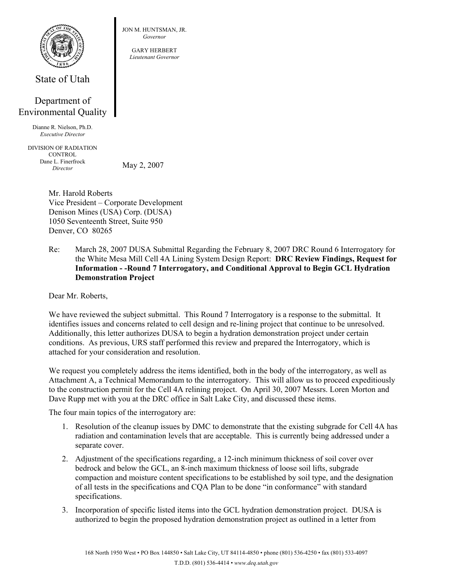

State of Utah

## Department of Environmental Quality

Dianne R. Nielson, Ph.D. *Executive Director* 

DIVISION OF RADIATION **CONTROL** Dane L. Finerfrock *Director* 

May 2, 2007

Mr. Harold Roberts Vice President – Corporate Development Denison Mines (USA) Corp. (DUSA) 1050 Seventeenth Street, Suite 950 Denver, CO 80265

Re: March 28, 2007 DUSA Submittal Regarding the February 8, 2007 DRC Round 6 Interrogatory for the White Mesa Mill Cell 4A Lining System Design Report: **DRC Review Findings, Request for Information - -Round 7 Interrogatory, and Conditional Approval to Begin GCL Hydration Demonstration Project** 

Dear Mr. Roberts,

We have reviewed the subject submittal. This Round 7 Interrogatory is a response to the submittal. It identifies issues and concerns related to cell design and re-lining project that continue to be unresolved. Additionally, this letter authorizes DUSA to begin a hydration demonstration project under certain conditions. As previous, URS staff performed this review and prepared the Interrogatory, which is attached for your consideration and resolution.

We request you completely address the items identified, both in the body of the interrogatory, as well as Attachment A, a Technical Memorandum to the interrogatory. This will allow us to proceed expeditiously to the construction permit for the Cell 4A relining project. On April 30, 2007 Messrs. Loren Morton and Dave Rupp met with you at the DRC office in Salt Lake City, and discussed these items.

The four main topics of the interrogatory are:

- 1. Resolution of the cleanup issues by DMC to demonstrate that the existing subgrade for Cell 4A has radiation and contamination levels that are acceptable. This is currently being addressed under a separate cover.
- 2. Adjustment of the specifications regarding, a 12-inch minimum thickness of soil cover over bedrock and below the GCL, an 8-inch maximum thickness of loose soil lifts, subgrade compaction and moisture content specifications to be established by soil type, and the designation of all tests in the specifications and CQA Plan to be done "in conformance" with standard specifications.
- 3. Incorporation of specific listed items into the GCL hydration demonstration project. DUSA is authorized to begin the proposed hydration demonstration project as outlined in a letter from

JON M. HUNTSMAN, JR. *Governor* 

> GARY HERBERT *Lieutenant Governor*